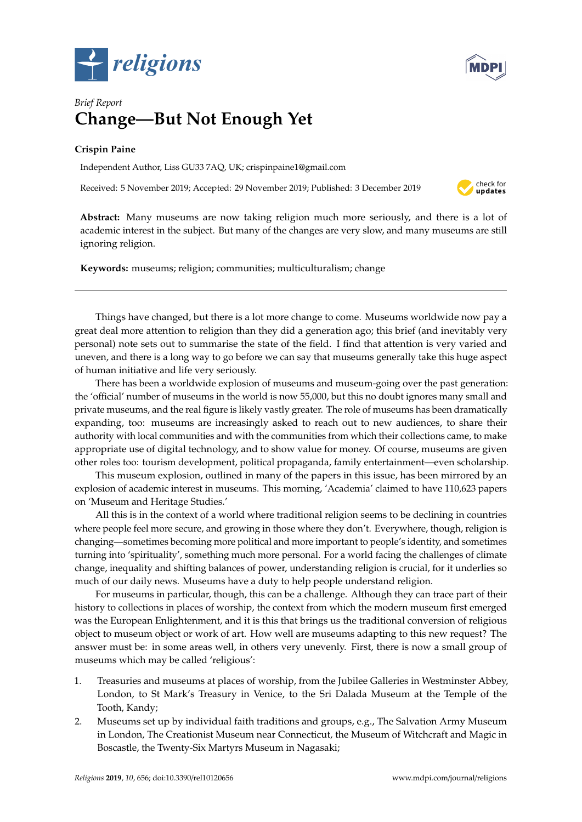



## *Brief Report* **Change—But Not Enough Yet**

## **Crispin Paine**

Independent Author, Liss GU33 7AQ, UK; crispinpaine1@gmail.com

Received: 5 November 2019; Accepted: 29 November 2019; Published: 3 December 2019



**Abstract:** Many museums are now taking religion much more seriously, and there is a lot of academic interest in the subject. But many of the changes are very slow, and many museums are still ignoring religion.

**Keywords:** museums; religion; communities; multiculturalism; change

Things have changed, but there is a lot more change to come. Museums worldwide now pay a great deal more attention to religion than they did a generation ago; this brief (and inevitably very personal) note sets out to summarise the state of the field. I find that attention is very varied and uneven, and there is a long way to go before we can say that museums generally take this huge aspect of human initiative and life very seriously.

There has been a worldwide explosion of museums and museum-going over the past generation: the 'official' number of museums in the world is now 55,000, but this no doubt ignores many small and private museums, and the real figure is likely vastly greater. The role of museums has been dramatically expanding, too: museums are increasingly asked to reach out to new audiences, to share their authority with local communities and with the communities from which their collections came, to make appropriate use of digital technology, and to show value for money. Of course, museums are given other roles too: tourism development, political propaganda, family entertainment—even scholarship.

This museum explosion, outlined in many of the papers in this issue, has been mirrored by an explosion of academic interest in museums. This morning, 'Academia' claimed to have 110,623 papers on 'Museum and Heritage Studies.'

All this is in the context of a world where traditional religion seems to be declining in countries where people feel more secure, and growing in those where they don't. Everywhere, though, religion is changing—sometimes becoming more political and more important to people's identity, and sometimes turning into 'spirituality', something much more personal. For a world facing the challenges of climate change, inequality and shifting balances of power, understanding religion is crucial, for it underlies so much of our daily news. Museums have a duty to help people understand religion.

For museums in particular, though, this can be a challenge. Although they can trace part of their history to collections in places of worship, the context from which the modern museum first emerged was the European Enlightenment, and it is this that brings us the traditional conversion of religious object to museum object or work of art. How well are museums adapting to this new request? The answer must be: in some areas well, in others very unevenly. First, there is now a small group of museums which may be called 'religious':

- 1. Treasuries and museums at places of worship, from the Jubilee Galleries in Westminster Abbey, London, to St Mark's Treasury in Venice, to the Sri Dalada Museum at the Temple of the Tooth, Kandy;
- 2. Museums set up by individual faith traditions and groups, e.g., The Salvation Army Museum in London, The Creationist Museum near Connecticut, the Museum of Witchcraft and Magic in Boscastle, the Twenty-Six Martyrs Museum in Nagasaki;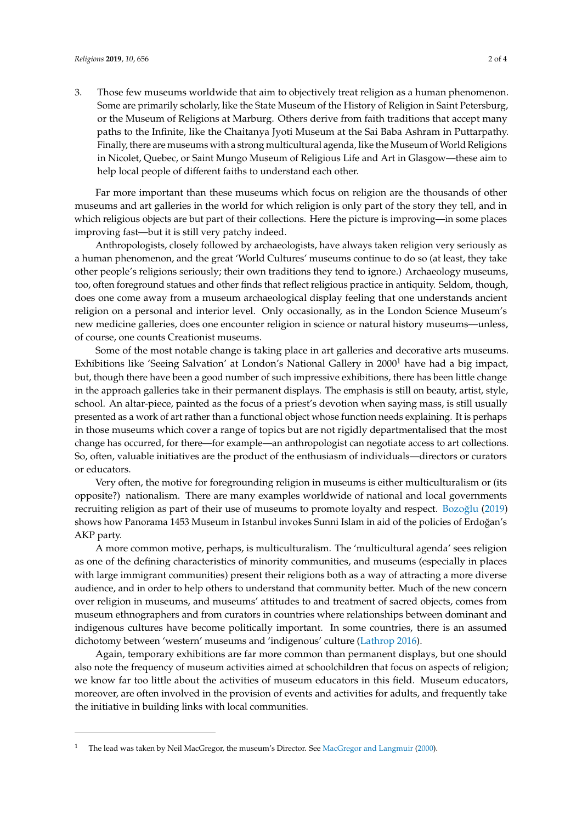3. Those few museums worldwide that aim to objectively treat religion as a human phenomenon. Some are primarily scholarly, like the State Museum of the History of Religion in Saint Petersburg, or the Museum of Religions at Marburg. Others derive from faith traditions that accept many paths to the Infinite, like the Chaitanya Jyoti Museum at the Sai Baba Ashram in Puttarpathy. Finally, there are museums with a strong multicultural agenda, like the Museum of World Religions in Nicolet, Quebec, or Saint Mungo Museum of Religious Life and Art in Glasgow—these aim to help local people of different faiths to understand each other.

Far more important than these museums which focus on religion are the thousands of other museums and art galleries in the world for which religion is only part of the story they tell, and in which religious objects are but part of their collections. Here the picture is improving—in some places improving fast—but it is still very patchy indeed.

Anthropologists, closely followed by archaeologists, have always taken religion very seriously as a human phenomenon, and the great 'World Cultures' museums continue to do so (at least, they take other people's religions seriously; their own traditions they tend to ignore.) Archaeology museums, too, often foreground statues and other finds that reflect religious practice in antiquity. Seldom, though, does one come away from a museum archaeological display feeling that one understands ancient religion on a personal and interior level. Only occasionally, as in the London Science Museum's new medicine galleries, does one encounter religion in science or natural history museums—unless, of course, one counts Creationist museums.

Some of the most notable change is taking place in art galleries and decorative arts museums. Exhibitions like 'Seeing Salvation' at London's National Gallery in 2000<sup>1</sup> have had a big impact, but, though there have been a good number of such impressive exhibitions, there has been little change in the approach galleries take in their permanent displays. The emphasis is still on beauty, artist, style, school. An altar-piece, painted as the focus of a priest's devotion when saying mass, is still usually presented as a work of art rather than a functional object whose function needs explaining. It is perhaps in those museums which cover a range of topics but are not rigidly departmentalised that the most change has occurred, for there—for example—an anthropologist can negotiate access to art collections. So, often, valuable initiatives are the product of the enthusiasm of individuals—directors or curators or educators.

Very often, the motive for foregrounding religion in museums is either multiculturalism or (its opposite?) nationalism. There are many examples worldwide of national and local governments recruiting religion as part of their use of museums to promote loyalty and respect. Bozoğlu [\(2019\)](#page-3-0) shows how Panorama 1453 Museum in Istanbul invokes Sunni Islam in aid of the policies of Erdoğan's AKP party.

A more common motive, perhaps, is multiculturalism. The 'multicultural agenda' sees religion as one of the defining characteristics of minority communities, and museums (especially in places with large immigrant communities) present their religions both as a way of attracting a more diverse audience, and in order to help others to understand that community better. Much of the new concern over religion in museums, and museums' attitudes to and treatment of sacred objects, comes from museum ethnographers and from curators in countries where relationships between dominant and indigenous cultures have become politically important. In some countries, there is an assumed dichotomy between 'western' museums and 'indigenous' culture [\(Lathrop](#page-3-1) [2016\)](#page-3-1).

Again, temporary exhibitions are far more common than permanent displays, but one should also note the frequency of museum activities aimed at schoolchildren that focus on aspects of religion; we know far too little about the activities of museum educators in this field. Museum educators, moreover, are often involved in the provision of events and activities for adults, and frequently take the initiative in building links with local communities.

<sup>1</sup> The lead was taken by Neil MacGregor, the museum's Director. See [MacGregor and Langmuir](#page-3-2) [\(2000\)](#page-3-2).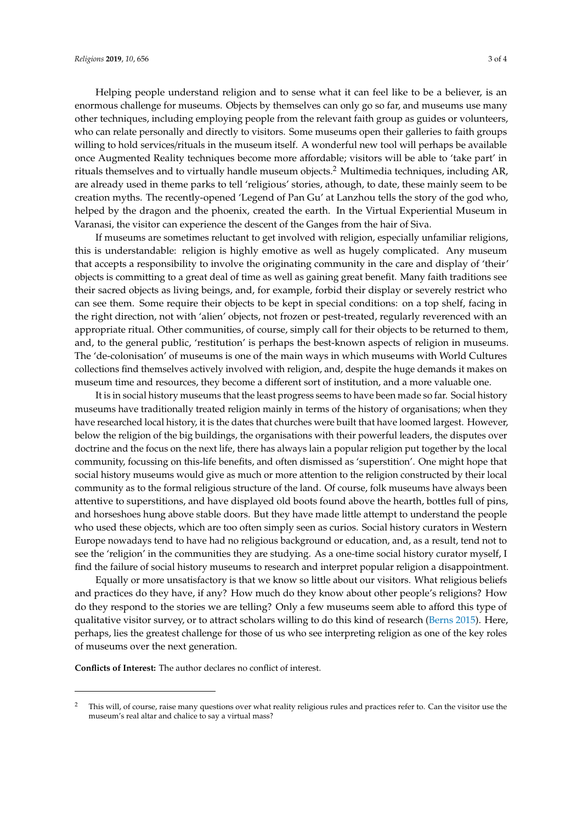Helping people understand religion and to sense what it can feel like to be a believer, is an enormous challenge for museums. Objects by themselves can only go so far, and museums use many other techniques, including employing people from the relevant faith group as guides or volunteers, who can relate personally and directly to visitors. Some museums open their galleries to faith groups willing to hold services/rituals in the museum itself. A wonderful new tool will perhaps be available once Augmented Reality techniques become more affordable; visitors will be able to 'take part' in rituals themselves and to virtually handle museum objects.<sup>2</sup> Multimedia techniques, including AR, are already used in theme parks to tell 'religious' stories, athough, to date, these mainly seem to be creation myths. The recently-opened 'Legend of Pan Gu' at Lanzhou tells the story of the god who, helped by the dragon and the phoenix, created the earth. In the Virtual Experiential Museum in Varanasi, the visitor can experience the descent of the Ganges from the hair of Siva.

If museums are sometimes reluctant to get involved with religion, especially unfamiliar religions, this is understandable: religion is highly emotive as well as hugely complicated. Any museum that accepts a responsibility to involve the originating community in the care and display of 'their' objects is committing to a great deal of time as well as gaining great benefit. Many faith traditions see their sacred objects as living beings, and, for example, forbid their display or severely restrict who can see them. Some require their objects to be kept in special conditions: on a top shelf, facing in the right direction, not with 'alien' objects, not frozen or pest-treated, regularly reverenced with an appropriate ritual. Other communities, of course, simply call for their objects to be returned to them, and, to the general public, 'restitution' is perhaps the best-known aspects of religion in museums. The 'de-colonisation' of museums is one of the main ways in which museums with World Cultures collections find themselves actively involved with religion, and, despite the huge demands it makes on museum time and resources, they become a different sort of institution, and a more valuable one.

It is in social history museums that the least progress seems to have been made so far. Social history museums have traditionally treated religion mainly in terms of the history of organisations; when they have researched local history, it is the dates that churches were built that have loomed largest. However, below the religion of the big buildings, the organisations with their powerful leaders, the disputes over doctrine and the focus on the next life, there has always lain a popular religion put together by the local community, focussing on this-life benefits, and often dismissed as 'superstition'. One might hope that social history museums would give as much or more attention to the religion constructed by their local community as to the formal religious structure of the land. Of course, folk museums have always been attentive to superstitions, and have displayed old boots found above the hearth, bottles full of pins, and horseshoes hung above stable doors. But they have made little attempt to understand the people who used these objects, which are too often simply seen as curios. Social history curators in Western Europe nowadays tend to have had no religious background or education, and, as a result, tend not to see the 'religion' in the communities they are studying. As a one-time social history curator myself, I find the failure of social history museums to research and interpret popular religion a disappointment.

Equally or more unsatisfactory is that we know so little about our visitors. What religious beliefs and practices do they have, if any? How much do they know about other people's religions? How do they respond to the stories we are telling? Only a few museums seem able to afford this type of qualitative visitor survey, or to attract scholars willing to do this kind of research [\(Berns](#page-3-3) [2015\)](#page-3-3). Here, perhaps, lies the greatest challenge for those of us who see interpreting religion as one of the key roles of museums over the next generation.

**Conflicts of Interest:** The author declares no conflict of interest.

<sup>2</sup> This will, of course, raise many questions over what reality religious rules and practices refer to. Can the visitor use the museum's real altar and chalice to say a virtual mass?